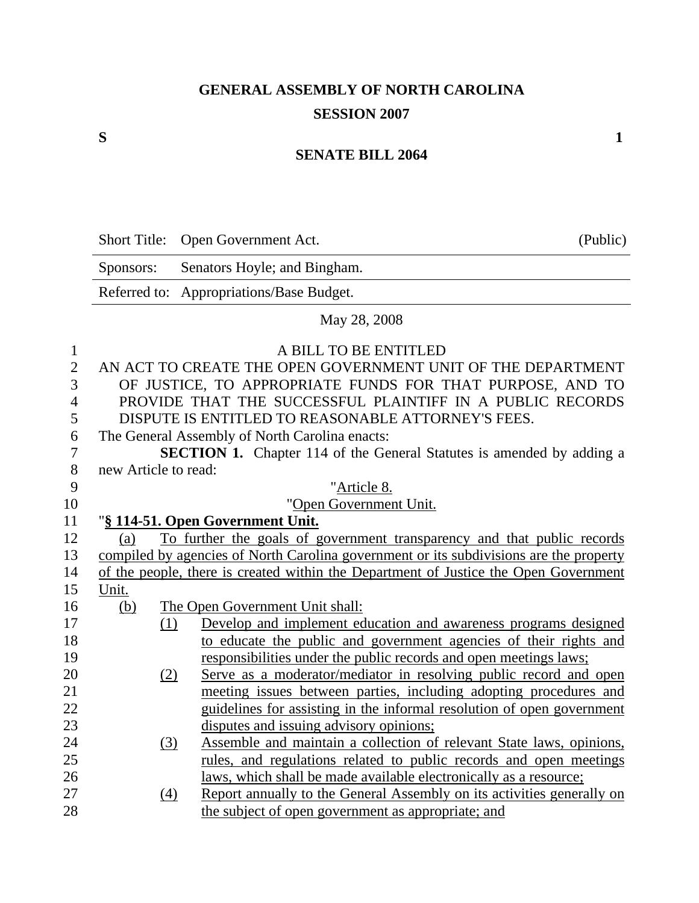## **GENERAL ASSEMBLY OF NORTH CAROLINA SESSION 2007**

## **SENATE BILL 2064**

| Short Title: Open Government Act. | (Public) |
|-----------------------------------|----------|
|-----------------------------------|----------|

Sponsors: Senators Hoyle; and Bingham. Referred to: Appropriations/Base Budget.

## May 28, 2008

| 1              |                      |     | A BILL TO BE ENTITLED                                                                  |
|----------------|----------------------|-----|----------------------------------------------------------------------------------------|
| $\overline{2}$ |                      |     | AN ACT TO CREATE THE OPEN GOVERNMENT UNIT OF THE DEPARTMENT                            |
| 3              |                      |     | OF JUSTICE, TO APPROPRIATE FUNDS FOR THAT PURPOSE, AND TO                              |
| $\overline{4}$ |                      |     | PROVIDE THAT THE SUCCESSFUL PLAINTIFF IN A PUBLIC RECORDS                              |
| 5              |                      |     | DISPUTE IS ENTITLED TO REASONABLE ATTORNEY'S FEES.                                     |
| 6              |                      |     | The General Assembly of North Carolina enacts:                                         |
| 7              |                      |     | <b>SECTION 1.</b> Chapter 114 of the General Statutes is amended by adding a           |
| 8              | new Article to read: |     |                                                                                        |
| 9              |                      |     | "Article 8.                                                                            |
| 10             |                      |     | "Open Government Unit.                                                                 |
| 11             |                      |     | "§ 114-51. Open Government Unit.                                                       |
| 12             | (a)                  |     | To further the goals of government transparency and that public records                |
| 13             |                      |     | compiled by agencies of North Carolina government or its subdivisions are the property |
| 14             |                      |     | of the people, there is created within the Department of Justice the Open Government   |
| 15             | Unit.                |     |                                                                                        |
| 16             | (b)                  |     | The Open Government Unit shall:                                                        |
| 17             |                      | (1) | Develop and implement education and awareness programs designed                        |
| 18             |                      |     | to educate the public and government agencies of their rights and                      |
| 19             |                      |     | responsibilities under the public records and open meetings laws;                      |
| 20             |                      | (2) | Serve as a moderator/mediator in resolving public record and open                      |
| 21             |                      |     | meeting issues between parties, including adopting procedures and                      |
| 22             |                      |     | guidelines for assisting in the informal resolution of open government                 |
| 23             |                      |     | disputes and issuing advisory opinions;                                                |
| 24             |                      | (3) | Assemble and maintain a collection of relevant State laws, opinions,                   |
| 25             |                      |     | rules, and regulations related to public records and open meetings                     |
| 26             |                      |     | laws, which shall be made available electronically as a resource;                      |
| 27             |                      | (4) | Report annually to the General Assembly on its activities generally on                 |
| 28             |                      |     | the subject of open government as appropriate; and                                     |